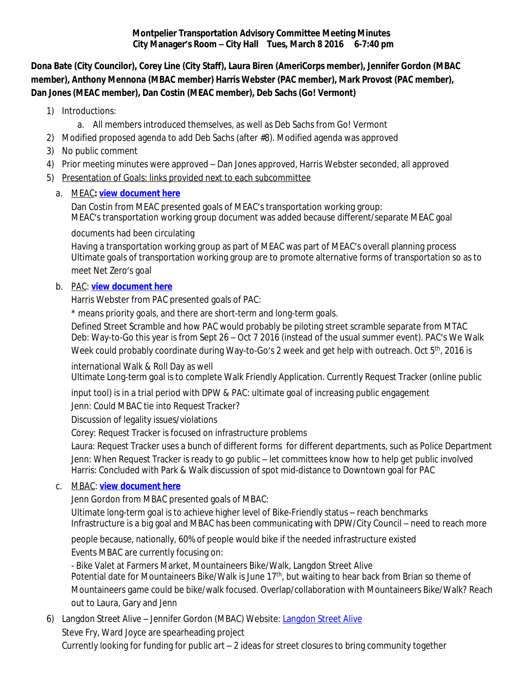#### **Montpelier Transportation Advisory Committee Meeting Minutes City Manager's Room – City Hall Tues, March 8 2016 6-7:40 pm**

**Dona Bate (City Councilor), Corey Line (City Staff), Laura Biren (AmeriCorps member), Jennifer Gordon (MBAC member), Anthony Mennona (MBAC member) Harris Webster (PAC member), Mark Provost (PAC member), Dan Jones (MEAC member), Dan Costin (MEAC member), Deb Sachs (Go! Vermont)**

- 1) Introductions:
	- a. All members introduced themselves, as well as Deb Sachs from Go! Vermont
- 2) Modified proposed agenda to add Deb Sachs (after #8). Modified agenda was approved
- 3) No public comment
- 4) Prior meeting minutes were approved Dan Jones approved, Harris Webster seconded, all approved
- 5) Presentation of Goals: links provided next to each subcommittee

## a. MEAC**: [view document here](file:///\\\\192.168.0.15\\planning\\VISTA\\Transportation%20Committee\\MBAC,%20PAC,%20MEAC,%20Parking%20Updates%20to%20MTAC\\Energy%20Committee%20update%20to%20TAC_files\\MEAC%20transportation%20working%20group%20update%203%208%2016.pdf)**

Dan Costin from MEAC presented goals of MEAC's transportation working group: MEAC's transportation working group document was added because different/separate MEAC goal

## documents had been circulating

Having a transportation working group as part of MEAC was part of MEAC's overall planning process Ultimate goals of transportation working group are to promote alternative forms of transportation so as to meet Net Zero's goal

## b. PAC: **[view document here](file:///\\\\192.168.0.15\\planning\\VISTA\\Transportation%20Committee\\MBAC,%20PAC,%20MEAC,%20Parking%20Updates%20to%20MTAC\\Pedestrian%20Committee%20update%20to%20MTAC\\Ped%20Comm%20Planning%20-%202016.pdf)**

Harris Webster from PAC presented goals of PAC:

\* means priority goals, and there are short-term and long-term goals.

Defined Street Scramble and how PAC would probably be piloting street scramble separate from MTAC Deb: Way-to-Go this year is from Sept 26 – Oct 7 2016 (instead of the usual summer event). PAC's We Walk Week could probably coordinate during Way-to-Go's 2 week and get help with outreach. Oct 5<sup>th</sup>, 2016 is

international Walk & Roll Day as well Ultimate Long-term goal is to complete Walk Friendly Application. Currently Request Tracker (online public

input tool) is in a trial period with DPW & PAC: ultimate goal of increasing public engagement

Jenn: Could MBAC tie into Request Tracker?

Discussion of legality issues/violations

Corey: Request Tracker is focused on infrastructure problems

Laura: Request Tracker uses a bunch of different forms for different departments, such as Police Department Jenn: When Request Tracker is ready to go public – let committees know how to help get public involved Harris: Concluded with Park & Walk discussion of spot mid-distance to Downtown goal for PAC

# c. MBAC: **[view document here](file:///\\\\192.168.0.15\\planning\\VISTA\\Transportation%20Committee\\MBAC,%20PAC,%20MEAC,%20Parking%20Updates%20to%20MTAC\\Bicycle%20committee%20update%20to%20TAC_files\\MBAC_RetreatMinutes_10292015.pdf)**

Jenn Gordon from MBAC presented goals of MBAC:

Ultimate long-term goal is to achieve higher level of Bike-Friendly status – reach benchmarks Infrastructure is a big goal and MBAC has been communicating with DPW/City Council – need to reach more

people because, nationally, 60% of people would bike if the needed infrastructure existed

Events MBAC are currently focusing on:

- Bike Valet at Farmers Market, Mountaineers Bike/Walk, Langdon Street Alive Potential date for Mountaineers Bike/Walk is June 17<sup>th</sup>, but waiting to hear back from Brian so theme of Mountaineers game could be bike/walk focused. Overlap/collaboration with Mountaineers Bike/Walk? Reach out to Laura, Gary and Jenn

6) [Langdon Street Alive](http://www.langdonstreetalive.org/) - Jennifer Gordon (MBAC) Website: Langdon Street Alive Steve Fry, Ward Joyce are spearheading project Currently looking for funding for public art – 2 ideas for street closures to bring community together